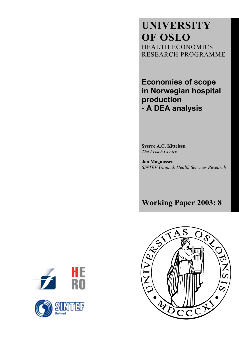**UNIVERSITY OF OSLO** HEALTH ECONOMICS RESEARCH PROGRAMME

**Economies of scope in Norwegian hospital production - A DEA analysis**

**Sverre A.C. Kittelsen**  *The Frisch Centre* 

**Jon Magnussen**  *SINTEF Unimed, Health Services Research* 

**Working Paper 2003: 8** 



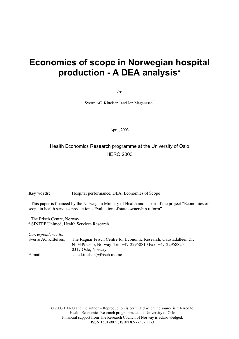# **Economies of scope in Norwegian hospital production - A DEA analysis**\*

*by* 

Sverre AC. Kittelsen $1$  and Jon Magnussen<sup>2</sup>

April, 2003

# Health Economics Research programme at the University of Oslo HERO 2003

**Key words:** Hospital performance, DEA, Economies of Scope

∗ This paper is financed by the Norwegian Ministry of Health and is part of the project "Economics of scope in health services production - Evaluation of state ownership reform".

<sup>1</sup> The Frisch Centre, Norway

<sup>2</sup> SINTEF Unimed, Health Services Research

| Correspondence to:   |                                                                   |
|----------------------|-------------------------------------------------------------------|
| Sverre AC Kittelsen, | The Ragnar Frisch Centre for Economic Research, Gaustadalléen 21, |
|                      | N-0349 Oslo, Norway. Tel: +47-22958810 Fax: +47-22958825          |
|                      | 0317 Oslo, Norway                                                 |
| E-mail:              | s.a.c.kittelsen@frisch.uio.no                                     |

© 2003 HERO and the author – Reproduction is permitted when the source is referred to. Health Economics Research programme at the University of Oslo Financial support from The Research Council of Norway is acknowledged. ISSN 1501-9071, ISBN 82-7756-111-3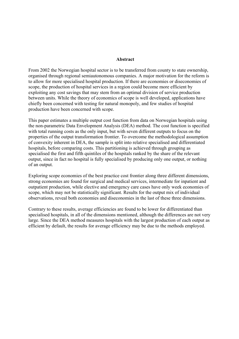#### **Abstract**

From 2002 the Norwegian hospital sector is to be transferred from county to state ownership, organised through regional semiautonomous companies. A major motivation for the reform is to allow for more specialised hospital production. If there are economies or diseconomies of scope, the production of hospital services in a region could become more efficient by exploiting any cost savings that may stem from an optimal division of service production between units. While the theory of economics of scope is well developed, applications have chiefly been concerned with testing for natural monopoly, and few studies of hospital production have been concerned with scope.

This paper estimates a multiple output cost function from data on Norwegian hospitals using the non-parametric Data Envelopment Analysis (DEA) method. The cost function is specified with total running costs as the only input, but with seven different outputs to focus on the properties of the output transformation frontier. To overcome the methodological assumption of convexity inherent in DEA, the sample is split into relative specialised and differentiated hospitals, before comparing costs. This partitioning is achieved through grouping as specialised the first and fifth quintiles of the hospitals ranked by the share of the relevant output, since in fact no hospital is fully specialised by producing only one output, or nothing of an output.

Exploring scope economies of the best practice cost frontier along three different dimensions, strong economies are found for surgical and medical services, intermediate for inpatient and outpatient production, while elective and emergency care cases have only week economies of scope, which may not be statistically significant. Results for the output mix of individual observations, reveal both economies and diseconomies in the last of these three dimensions.

Contrary to these results, average efficiencies are found to be lower for differentiated than specialised hospitals, in all of the dimensions mentioned, although the differences are not very large. Since the DEA method measures hospitals with the largest production of each output as efficient by default, the results for average efficiency may be due to the methods employed.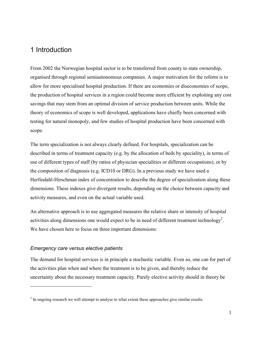# 1 Introduction

From 2002 the Norwegian hospital sector is to be transferred from county to state ownership, organised through regional semiautonomous companies. A major motivation for the reform is to allow for more specialised hospital production. If there are economies or diseconomies of scope, the production of hospital services in a region could become more efficient by exploiting any cost savings that may stem from an optimal division of service production between units. While the theory of economics of scope is well developed, applications have chiefly been concerned with testing for natural monopoly, and few studies of hospital production have been concerned with scope.

The term specialization is not always clearly defined. For hospitals, specialization can be described in terms of treatment capacity (e.g. by the allocation of beds by speciality), in terms of use of different types of staff (by ratios of physician specialities or different occupations), or by the composition of diagnosis (e.g. ICD10 or DRG). In a previous study we have used a Herfindahl-Hirschman index of concentration to describe the degree of specialization along these dimensions. These indexes give divergent results, depending on the choice between capacity and activity measures, and even on the actual variable used.

An alternative approach is to use aggregated measures the relative share or intensity of hospital activities along dimensions one would expect to be in need of different treatment technology<sup>2</sup>. We have chosen here to focus on three important dimensions:

#### *Emergency care versus elective patients*

1

The demand for hospital services is in principle a stochastic variable. Even so, one can for part of the activities plan when and where the treatment is to be given, and thereby reduce the uncertainty about the necessary treatment capacity. Purely elective activity should in theory be

 $2<sup>2</sup>$  In ongoing research we will attempt to analyse to what extent these approaches give similar results.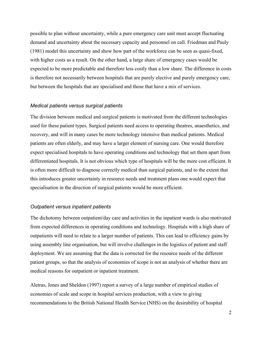possible to plan without uncertainty, while a pure emergency care unit must accept fluctuating demand and uncertainty about the necessary capacity and personnel on call. Friedman and Pauly (1981) model this uncertainty and show how part of the workforce can be seen as quasi-fixed, with higher costs as a result. On the other hand, a large share of emergency cases would be expected to be more predictable and therefore less costly than a low share. The difference in costs is therefore not necessarily between hospitals that are purely elective and purely emergency care, but between the hospitals that are specialised and those that have a mix of services.

#### *Medical patients versus surgical patients*

The division between medical and surgical patients is motivated from the different technologies used for these patient types. Surgical patients need access to operating theatres, anaesthetics, and recovery, and will in many cases be more technology intensive than medical patients. Medical patients are often elderly, and may have a larger element of nursing care. One would therefore expect specialised hospitals to have operating conditions and technology that set them apart from differentiated hospitals. It is not obvious which type of hospitals will be the more cost efficient. It is often more difficult to diagnose correctly medical than surgical patients, and to the extent that this introduces greater uncertainty in resource needs and treatment plans one would expect that specialisation in the direction of surgical patients would be more efficient.

#### *Outpatient versus inpatient patients*

The dichotomy between outpatient/day care and activities in the inpatient wards is also motivated from expected differences in operating conditions and technology. Hospitals with a high share of outpatients will need to relate to a larger number of patients. This can lead to efficiency gains by using assembly line organisation, but will involve challenges in the logistics of patient and staff deployment. We are assuming that the data is corrected for the resource needs of the different patient groups, so that the analysis of economies of scope is not an analysis of whether there are medical reasons for outpatient or inpatient treatment.

Aletras, Jones and Sheldon (1997) report a survey of a large number of empirical studies of economies of scale and scope in hospital services production, with a view to giving recommendations to the British National Health Service (NHS) on the desirability of hospital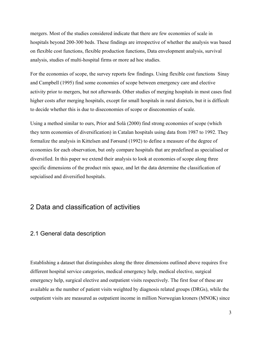mergers. Most of the studies considered indicate that there are few economies of scale in hospitals beyond 200-300 beds. These findings are irrespective of whether the analysis was based on flexible cost functions, flexible production functions, Data envelopment analysis, survival analysis, studies of multi-hospital firms or more ad hoc studies.

For the economies of scope, the survey reports few findings. Using flexible cost functions Sinay and Campbell (1995) find some economies of scope between emergency care and elective activity prior to mergers, but not afterwards. Other studies of merging hospitals in most cases find higher costs after merging hospitals, except for small hospitals in rural districts, but it is difficult to decide whether this is due to diseconomies of scope or diseconomies of scale.

Using a method similar to ours, Prior and Solà (2000) find strong economies of scope (which they term economies of diversification) in Catalan hospitals using data from 1987 to 1992. They formalize the analysis in Kittelsen and Førsund (1992) to define a measure of the degree of economies for each observation, but only compare hospitals that are predefined as specialised or diversified. In this paper we extend their analysis to look at economies of scope along three specific dimensions of the product mix space, and let the data determine the classification of sepcialised and diversified hospitals.

# 2 Data and classification of activities

## 2.1 General data description

Establishing a dataset that distinguishes along the three dimensions outlined above requires five different hospital service categories, medical emergency help, medical elective, surgical emergency help, surgical elective and outpatient visits respectively. The first four of these are available as the number of patient visits weighted by diagnosis related groups (DRGs), while the outpatient visits are measured as outpatient income in million Norwegian kroners (MNOK) since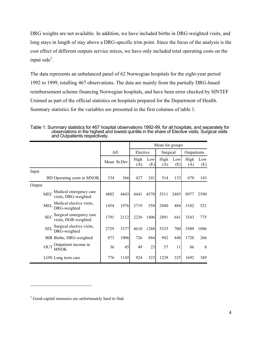DRG weights are not available. In addition, we have included births in DRG-weighted visits, and long stays in length of stay above a DRG-specific trim point. Since the focus of the analysis is the cost effect of different outputs service mixes, we have only included total operating costs on the input side $3$ .

The data represents an unbalanced panel of 62 Norwegian hospitals for the eight-year period 1992 to 1999, totalling 467 observations. The data are mainly from the partially DRG-based reimbursement scheme financing Norwegian hospitals, and have been error checked by SINTEF Unimed as part of the official statistics on hospitals prepared for the Department of Health. Summary statistics for the variables are presented in the first columns of table 1.

|                                                               | Mean for groups     |      |             |            |             |            |             |            |
|---------------------------------------------------------------|---------------------|------|-------------|------------|-------------|------------|-------------|------------|
|                                                               | All<br>Mean St.Dev. |      | Elective    |            | Surgical    |            | Outpatients |            |
|                                                               |                     |      | High<br>(A) | Low<br>(E) | High<br>(A) | Low<br>(E) | High<br>(A) | Low<br>(E) |
| Input                                                         |                     |      |             |            |             |            |             |            |
| BD Operating costs in MNOK                                    | 334                 | 366  | 437         | 241        | 514         | 133        | 670         | 143        |
| Output                                                        |                     |      |             |            |             |            |             |            |
| Medical emergency care<br><b>MEC</b><br>visits, DRG-weighted  | 4882                | 4443 | 4441        | 4570       | 5511        | 2485       | 8977        | 2590       |
| Medical elective visits,<br><b>MEL</b><br>DRG-weighted        | 1454                | 1976 | 2719        | 558        | 2840        | 484        | 3102        | 521        |
| Surgical emergency care<br><b>SEC</b><br>visits, DGR-weighted | 1791                | 2112 | 2236        | 1406       | 2891        | 641        | 3543        | 775        |
| Surgical elective visits,<br><b>SEL</b><br>DRG-weighted       | 2729                | 3377 | 4610        | 1288       | 5335        | 700        | 5509        | 1086       |
| BIR Births, DRG-weighted                                      | 873                 | 1006 | 726         | 844        | 942         | 448        | 1720        | 266        |
| Outpatient income in<br><b>OUT</b><br>MNOK                    | 36                  | 45   | 49          | 23         | 57          | 11         | 86          | 8          |
| LON Long term care                                            | 776                 | 1145 | 924         | 523        | 1239        | 325        | 1692        | 389        |

Table 1: Summary statistics for 467 hospital observations 1992-99, for all hospitals, and separately for observations in the highest and lowest quintile in the share of Elective visits, Surgical visits and Outpatients respectively.

1

<sup>&</sup>lt;sup>3</sup> Good capital measures are unfortunately hard to find.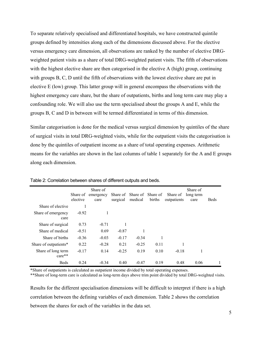To separate relatively specialised and differentiated hospitals, we have constructed quintile groups defined by intensities along each of the dimensions discussed above. For the elective versus emergency care dimension, all observations are ranked by the number of elective DRGweighted patient visits as a share of total DRG-weighted patient visits. The fifth of observations with the highest elective share are then categorised in the elective A (high) group, continuing with groups B, C, D until the fifth of observations with the lowest elective share are put in elective E (low) group. This latter group will in general encompass the observations with the highest emergency care share, but the share of outpatients, births and long term care may play a confounding role. We will also use the term specialised about the groups A and E, while the groups B, C and D in between will be termed differentiated in terms of this dimension.

Similar categorisation is done for the medical versus surgical dimension by quintiles of the share of surgical visits in total DRG-weighted visits, while for the outpatient visits the categorisation is done by the quintiles of outpatient income as a share of total operating expenses. Arithmetic means for the variables are shown in the last columns of table 1 separately for the A and E groups along each dimension.

|                                | Share of<br>elective | Share of<br>emergency<br>care | Share of<br>surgical | Share of<br>medical | Share of<br>births | Share of<br>outpatients | Share of<br>long term<br>care | <b>Beds</b> |
|--------------------------------|----------------------|-------------------------------|----------------------|---------------------|--------------------|-------------------------|-------------------------------|-------------|
| Share of elective              |                      |                               |                      |                     |                    |                         |                               |             |
| Share of emergency<br>care     | $-0.92$              |                               |                      |                     |                    |                         |                               |             |
| Share of surgical              | 0.73                 | $-0.71$                       |                      |                     |                    |                         |                               |             |
| Share of medical               | $-0.51$              | 0.69                          | $-0.87$              |                     |                    |                         |                               |             |
| Share of births                | $-0.36$              | $-0.03$                       | $-0.17$              | $-0.34$             | 1                  |                         |                               |             |
| Share of outpatients*          | 0.22                 | $-0.28$                       | 0.21                 | $-0.25$             | 0.11               |                         |                               |             |
| Share of long term<br>$care**$ | $-0.17$              | 0.14                          | $-0.25$              | 0.19                | 0.10               | $-0.18$                 | 1                             |             |
| <b>Beds</b>                    | 0.24                 | $-0.34$                       | 0.40                 | $-0.47$             | 0.19               | 0.48                    | 0.06                          |             |

Table 2: Correlation between shares of different outputs and beds.

\*Share of outpatients is calculated as outpatient income divided by total operating expenses.

\*\*Share of long-term care is calculated as long-term days above trim point divided by total DRG-weighted visits.

Results for the different specialisation dimensions will be difficult to interpret if there is a high correlation between the defining variables of each dimension. Table 2 shows the correlation between the shares for each of the variables in the data set.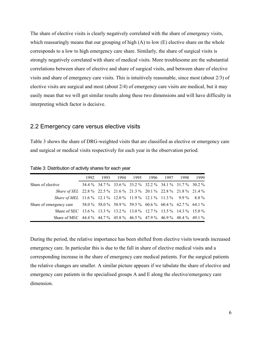The share of elective visits is clearly negatively correlated with the share of emergency visits, which reassuringly means that our grouping of high (A) to low (E) elective share on the whole corresponds to a low to high emergency care share. Similarly, the share of surgical visits is strongly negatively correlated with share of medical visits. More troublesome are the substantial correlations between share of elective and share of surgical visits, and between share of elective visits and share of emergency care visits. This is intuitively reasonable, since most (about 2/3) of elective visits are surgical and most (about 2/4) of emergency care visits are medical, but it may easily mean that we will get similar results along these two dimensions and will have difficulty in interpreting which factor is decisive.

#### 2.2 Emergency care versus elective visits

Table 3 shows the share of DRG-weighted visits that are classified as elective or emergency care and surgical or medical visits respectively for each year in the observation period.

|                                                                                 | 1992 | 1993 1994 1995 1996 1997 1998 1999                      |  |  |  |
|---------------------------------------------------------------------------------|------|---------------------------------------------------------|--|--|--|
| Share of elective                                                               |      | 34.4 % 34.7 % 33.6 % 33.2 % 32.2 % 34.1 % 31.7 % 30.2 % |  |  |  |
| Share of SEL 22.8 % 22.5 % 21.6 % 21.3 % 20.1 % 22.8 % 21.8 % 21.4 %            |      |                                                         |  |  |  |
| Share of MEL 11.6 % 12.1 % 12.0 % 11.9 % 12.1 % 11.3 % 9.9 % 8.8 %              |      |                                                         |  |  |  |
| Share of emergency care 58.0 % 58.0 % 58.9 % 59.5 % 60.6 % 60.4 % 62.7 % 64.1 % |      |                                                         |  |  |  |
| Share of SEC 13.6 % 13.3 % 13.2 % 13.0 % 12.7 % 13.5 % 14.3 % 15.0 %            |      |                                                         |  |  |  |
| Share of MEC 44.4 % 44.7 % 45.8 % 46.5 % 47.9 % 46.9 % 48.4 % 49.1 %            |      |                                                         |  |  |  |

Table 3: Distribution of activity shares for each year

During the period, the relative importance has been shifted from elective visits towards increased emergency care. In particular this is due to the fall in share of elective medical visits and a corresponding increase in the share of emergency care medical patients. For the surgical patients the relative changes are smaller. A similar picture appears if we tabulate the share of elective and emergency care patients in the specialised groups A and E along the elective/emergency care dimension.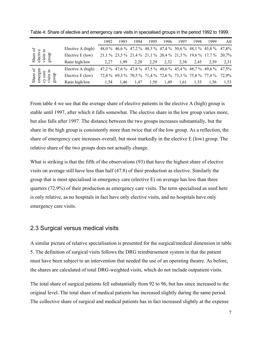|                                         |                   | 1992 | 1993                                                            | 1994 | 1995 | 1996 | 1997 | 1998 | 1999                                                    | All   |
|-----------------------------------------|-------------------|------|-----------------------------------------------------------------|------|------|------|------|------|---------------------------------------------------------|-------|
| Ъ<br>≘                                  | Elective A (high) |      |                                                                 |      |      |      |      |      | 48,0 % 46,6 % 47,2 % 48,3 % 47,4 % 50,6 % 48,1 % 45,8 % | 47,8% |
| Share<br>dno.fâ<br>visits<br>electi     | Elective E (low)  |      | 21, 1 % 23, 5 % 21, 4 % 21, 1 % 20, 4 % 21, 3 % 19, 6 % 17, 7 % |      |      |      |      |      |                                                         | 20.7% |
|                                         | Ratio high/low    | 2,27 | 1.99                                                            | 2,20 | 2.29 | 2,32 | 2.38 | 2.45 | 2.59                                                    | 2,31  |
| ð<br>.日<br>Φ                            | Elective A (high) |      |                                                                 |      |      |      |      |      | 47,2 % 47,6 % 47,8 % 47,5 % 48,6 % 45,4 % 48,7 % 49,6 % | 47,5% |
| emergen<br>аr<br>Share<br>dno<br>visits | Elective E (low)  |      |                                                                 |      |      |      |      |      | 72,4 % 69,3 % 70,5 % 71,4 % 72,6 % 73,3 % 75,8 % 77,4 % | 72.9% |
|                                         | Ratio high/low    | 1.54 | 1.46                                                            | 1,47 | 1,50 | 1.49 | 1.61 | 1.55 | 1,56                                                    | 1,53  |

Table 4: Share of elective and emergency care visits in specialised groups in the period 1992 to 1999.

From table 4 we see that the average share of elective patients in the elective A (high) group is stable until 1997, after which it falls somewhat. The elective share in the low group varies more, but also falls after 1997. The distance between the two groups increases substantially, but the share in the high group is consistently more than twice that of the low group. As a reflection, the share of emergency care increases overall, but most markedly in the elective E (low) group. The relative share of the two groups does not actually change.

What is striking is that the fifth of the observations (93) that have the highest share of elective visits on average still have less than half (47.8) of their production as elective. Similarly the group that is most specialised in emergency care (elective E) on average has less than three quarters (72.9%) of their production as emergency care visits. The term specialised as used here is only relative, as no hospitals in fact have only elective visits, and no hospitals have only emergency care visits.

#### 2.3 Surgical versus medical visits

A similar picture of relative specialisation is presented for the surgical/medical dimension in table 5. The definition of surgical visits follows the DRG reimbursement system in that the patient must have been subject to an intervention that needed the use of an operating theatre. As before, the shares are calculated of total DRG-weighted visits, which do not include outpatient visits.

The total share of surgical patients fell substantially from 92 to 96, but has since increased to the original level. The total share of medical patients has increased slightly during the same period. The collective share of surgical and medical patients has in fact increased slightly at the expense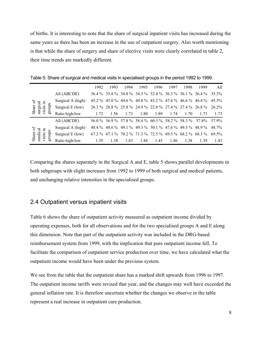of births. It is interesting to note that the share of surgical inpatient visits has increased during the same years as there has been an increase in the use of outpatient surgery. Also worth mentioning is that while the share of surgery and share of elective visits were clearly correlated in table 2, their time trends are markedly different.

|                                             |                    | 1992 | 1993 | 1994 | 1995 | 1996 | 1997 | 1998                                                      | 1999                                                           | All   |
|---------------------------------------------|--------------------|------|------|------|------|------|------|-----------------------------------------------------------|----------------------------------------------------------------|-------|
|                                             | All (ABCDE)        |      |      |      |      |      |      |                                                           | 36.4 % 35.8 % 34.8 % 34.3 % 32.8 % 36.3 % 36.1 % 36.4 % 35.3 % |       |
|                                             | Surgical A (high)  |      |      |      |      |      |      |                                                           | 45.2 % 45.0 % 44.6 % 44.8 % 43.2 % 47.6 % 46.6 % 46.4 %        | 45.5% |
| Share of<br>surgical<br>visits in<br>groups | Surgical $E$ (low) |      |      |      |      |      |      |                                                           | 26.3 % 28.8 % 25.8 % 24.9 % 22.8 % 27.4 % 27.4 % 26.8 % 26.2 % |       |
|                                             | Ratio high/low     | 1.72 | 1.56 | 1.73 | 1.80 | 1.89 | 1.74 | 1.70                                                      | 1.73                                                           | 1.73  |
|                                             | All (ABCDE)        |      |      |      |      |      |      |                                                           | 56.0 % 56.9 % 57.8 % 58.4 % 60.5 % 58.2 % 58.3 % 57.8 % 57.9 % |       |
|                                             | Surgical A (high)  |      |      |      |      |      |      | 48.4 % 48.6 % 49.1 % 49.3 % 50.1 % 47.6 % 49.5 % 48.9 %   |                                                                | 48.7% |
| Share of<br>medical<br>visits in<br>groups  | Surgical $E$ (low) |      |      |      |      |      |      | $67.2\%$ 67.1 % 70.2 % 71.3 % 72.5 % 69.5 % 68.2 % 68.3 % |                                                                | 69.5% |
|                                             | Ratio high/low     | 1.39 | 1.38 | 1.43 | 1.44 | 1.45 | 1.46 | 1.38                                                      | 1.39                                                           | 1.43  |

Table 5: Share of surgical and medical visits in specialised groups in the period 1992 to 1999.

Comparing the shares separately in the Surgical A and E, table 5 shows parallel developments in both subgroups with slight increases from 1992 to 1999 of both surgical and medical patients, and unchanging relative intensities in the specialised groups.

## 2.4 Outpatient versus inpatient visits

Table 6 shows the share of outpatient activity measured as outpatient income divided by operating expenses, both for all observations and for the two specialised groups A and E along this dimension. Note that part of the outpatient activity was included in the DRG-based reimbursement system from 1999, with the implication that pure outpatient income fell. To facilitate the comparison of outpatient service production over time, we have calculated what the outpatient income would have been under the previous system.

We see from the table that the outpatient share has a marked shift upwards from 1996 to 1997. The outpatient income tariffs were revised that year, and the changes may well have exceeded the general inflation rate. It is therefore uncertain whether the changes we observe in the table represent a real increase in outpatient care production.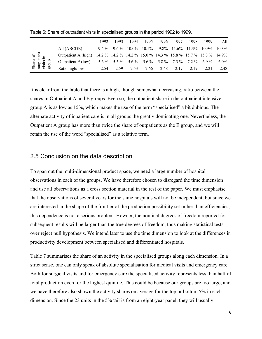|                        |                                                                                    | 1992 | 1993 | 1994                     | 1995 | 1996 | 1997 | 1998 | 1999                                                            | All     |
|------------------------|------------------------------------------------------------------------------------|------|------|--------------------------|------|------|------|------|-----------------------------------------------------------------|---------|
|                        | All (ABCDE)                                                                        |      |      | $9.6\%$ $9.6\%$ $10.0\%$ |      |      |      |      | $10.1\%$ 9.8% $11.6\%$ 11.3% 10.9% 10.3%                        |         |
| Share of<br>outpatient | Outpatient A (high) 14.2 % 14.2 % 14.2 % 15.0 % 14.3 % 15.8 % 15.7 % 15.3 % 14.9 % |      |      |                          |      |      |      |      |                                                                 |         |
| visits                 | Outpatient E (low)                                                                 |      |      |                          |      |      |      |      | $5.6\%$ $5.5\%$ $5.6\%$ $5.6\%$ $5.8\%$ $7.3\%$ $7.2\%$ $6.9\%$ | $6.0\%$ |
| ã                      | Ratio high/low                                                                     | 2.54 | 2.59 | 2.53                     | 2.66 | 2.48 | 2.17 | 2.19 | 2.21                                                            | 2.48    |

Table 6: Share of outpatient visits in specialised groups in the period 1992 to 1999.

It is clear from the table that there is a high, though somewhat decreasing, ratio between the shares in Outpatient A and E groups. Even so, the outpatient share in the outpatient intensive group A is as low as 15%, which makes the use of the term "specialised" a bit dubious. The alternate activity of inpatient care is in all groups the greatly dominating one. Nevertheless, the Outpatient A group has more than twice the share of outpatients as the E group, and we will retain the use of the word "specialised" as a relative term.

## 2.5 Conclusion on the data description

To span out the multi-dimensional product space, we need a large number of hospital observations in each of the groups. We have therefore chosen to disregard the time dimension and use all observations as a cross section material in the rest of the paper. We must emphasise that the observations of several years for the same hospitals will not be independent, but since we are interested in the shape of the frontier of the production possibility set rather than efficiencies, this dependence is not a serious problem. Howeer, the nominal degrees of freedom reported for subsequent results will be larger than the true degrees of freedom, thus making statistical tests over reject null hypothesis. We intend later to use the time dimension to look at the differences in productivity development between specialised and differentiated hospitals.

Table 7 summarises the share of an activity in the specialised groups along each dimension. In a strict sense, one can only speak of absolute specialisation for medical visits and emergency care. Both for surgical visits and for emergency care the specialised activity represents less than half of total production even for the highest quintile. This could be because our groups are too large, and we have therefore also shown the activity shares on average for the top or bottom 5% in each dimension. Since the 23 units in the 5% tail is from an eight-year panel, they will usually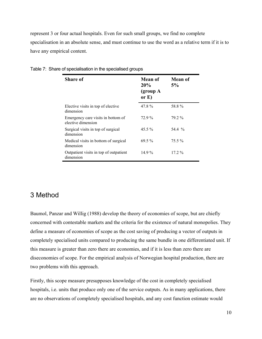represent 3 or four actual hospitals. Even for such small groups, we find no complete specialisation in an absolute sense, and must continue to use the word as a relative term if it is to have any empirical content.

| <b>Share of</b>                                          | <b>Mean of</b><br>20%<br>$\qquad$ (group $A$<br>or $E$ ) | Mean of<br>5% |
|----------------------------------------------------------|----------------------------------------------------------|---------------|
| Elective visits in top of elective<br>dimension          | 47.8%                                                    | 58.8%         |
| Emergency care visits in bottom of<br>elective dimension | 72.9%                                                    | 79.2%         |
| Surgical visits in top of surgical<br>dimension          | $45.5\%$                                                 | 54.4 %        |
| Medical visits in bottom of surgical<br>dimension        | $69.5\%$                                                 | $75.5\%$      |
| Outpatient visits in top of outpatient<br>dimension      | $14.9\%$                                                 | $17.2\%$      |

|  | Table 7: Share of specialisation in the specialised groups |  |  |
|--|------------------------------------------------------------|--|--|
|  |                                                            |  |  |

# 3 Method

Baumol, Panzar and Willig (1988) develop the theory of economies of scope, but are chiefly concerned with contestable markets and the criteria for the existence of natural monopolies. They define a measure of economies of scope as the cost saving of producing a vector of outputs in completely specialised units compared to producing the same bundle in one differentiated unit. If this measure is greater than zero there are economies, and if it is less than zero there are diseconomies of scope. For the empirical analysis of Norwegian hospital production, there are two problems with this approach.

Firstly, this scope measure presupposes knowledge of the cost in completely specialised hospitals, i.e. units that produce only one of the service outputs. As in many applications, there are no observations of completely specialised hospitals, and any cost function estimate would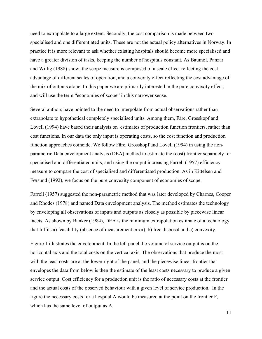need to extrapolate to a large extent. Secondly, the cost comparison is made between two specialised and one differentiated units. These are not the actual policy alternatives in Norway. In practice it is more relevant to ask whether existing hospitals should become more specialised and have a greater division of tasks, keeping the number of hospitals constant. As Baumol, Panzar and Willig (1988) show, the scope measure is composed of a scale effect reflecting the cost advantage of different scales of operation, and a convexity effect reflecting the cost advantage of the mix of outputs alone. In this paper we are primarily interested in the pure convexity effect, and will use the term "economies of scope" in this narrower sense.

Several authors have pointed to the need to interpolate from actual observations rather than extrapolate to hypothetical completely specialised units. Among them, Färe, Grosskopf and Lovell (1994) have based their analysis on estimates of production function frontiers, rather than cost functions. In our data the only input is operating costs, so the cost function and production function approaches coincide. We follow Färe, Grosskopf and Lovell (1994) in using the nonparametric Data envelopment analysis (DEA) method to estimate the (cost) frontier separately for specialised and differentiated units, and using the output increasing Farrell (1957) efficiency measure to compare the cost of specialised and differentiated production. As in Kittelsen and Førsund (1992), we focus on the pure convexity component of economies of scope.

Farrell (1957) suggested the non-parametric method that was later developed by Charnes, Cooper and Rhodes (1978) and named Data envelopment analysis. The method estimates the technology by enveloping all observations of inputs and outputs as closely as possible by piecewise linear facets. As shown by Banker (1984), DEA is the minimum extrapolation estimate of a technology that fulfils a) feasibility (absence of measurement error), b) free disposal and c) convexity.

Figure 1 illustrates the envelopment. In the left panel the volume of service output is on the horizontal axis and the total costs on the vertical axis. The observations that produce the most with the least costs are at the lower right of the panel, and the piecewise linear frontier that envelopes the data from below is then the estimate of the least costs necessary to produce a given service output. Cost efficiency for a production unit is the ratio of necessary costs at the frontier and the actual costs of the observed behaviour with a given level of service production. In the figure the necessary costs for a hospital A would be measured at the point on the frontier F, which has the same level of output as A.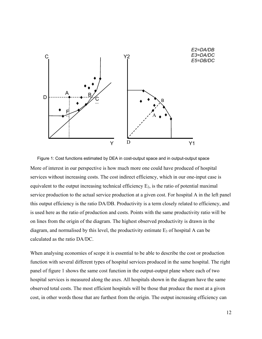

More of interest in our perspective is how much more one could have produced of hospital services without increasing costs. The cost indirect efficiency, which in our one-input case is equivalent to the output increasing technical efficiency  $E_2$ , is the ratio of potential maximal service production to the actual service production at a given cost. For hospital A in the left panel this output efficiency is the ratio DA/DB. Productivity is a term closely related to efficiency, and is used here as the ratio of production and costs. Points with the same productivity ratio will be on lines from the origin of the diagram. The highest observed productivity is drawn in the diagram, and normalised by this level, the productivity estimate  $E_3$  of hospital A can be calculated as the ratio DA/DC. Figure 1: Cost functions estimated by DEA in cost-output space and in output-output space

When analysing economies of scope it is essential to be able to describe the cost or production function with several different types of hospital services produced in the same hospital. The right panel of figure 1 shows the same cost function in the output-output plane where each of two hospital services is measured along the axes. All hospitals shown in the diagram have the same observed total costs. The most efficient hospitals will be those that produce the most at a given cost, in other words those that are furthest from the origin. The output increasing efficiency can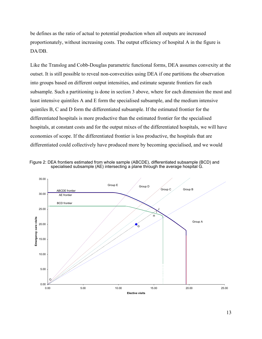be defines as the ratio of actual to potential production when all outputs are increased proportionately, without increasing costs. The output efficiency of hospital A in the figure is DA/DB.

Like the Translog and Cobb-Douglas parametric functional forms, DEA assumes convexity at the outset. It is still possible to reveal non-convexities using DEA if one partitions the observation into groups based on different output intensities, and estimate separate frontiers for each subsample. Such a partitioning is done in section 3 above, where for each dimension the most and least intensive quintiles A and E form the specialised subsample, and the medium intensive quintiles B, C and D form the differentiated subsample. If the estimated frontier for the differentiated hospitals is more productive than the estimated frontier for the specialised hospitals, at constant costs and for the output mixes of the differentiated hospitals, we will have economies of scope. If the differentiated frontier is less productive, the hospitals that are differentiated could collectively have produced more by becoming specialised, and we would



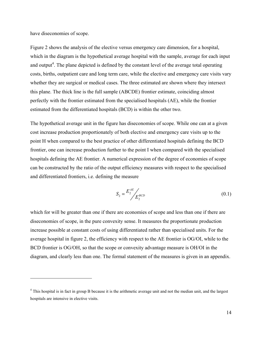have diseconomies of scope.

1

Figure 2 shows the analysis of the elective versus emergency care dimension, for a hospital, which in the diagram is the hypothetical average hospital with the sample, average for each input and output<sup>4</sup>. The plane depicted is defined by the constant level of the average total operating costs, births, outpatient care and long term care, while the elective and emergency care visits vary whether they are surgical or medical cases. The three estimated are shown where they intersect this plane. The thick line is the full sample (ABCDE) frontier estimate, coinciding almost perfectly with the frontier estimated from the specialised hospitals (AE), while the frontier estimated from the differentiated hospitals (BCD) is within the other two.

The hypothetical average unit in the figure has diseconomies of scope. While one can at a given cost increase production proportionately of both elective and emergency care visits up to the point H when compared to the best practice of other differentiated hospitals defining the BCD frontier, one can increase production further to the point I when compared with the specialised hospitals defining the AE frontier. A numerical expression of the degree of economies of scope can be constructed by the ratio of the output efficiency measures with respect to the specialised and differentiated frontiers, i.e. defining the measure

$$
S_2 = \frac{E_2^{AE}}{E_2^{BCD}}
$$
 (0.1)

which for will be greater than one if there are economies of scope and less than one if there are diseconomies of scope, in the pure convexity sense. It measures the proportionate production increase possible at constant costs of using differentiated rather than specialised units. For the average hospital in figure 2, the efficiency with respect to the AE frontier is OG/OI, while to the BCD frontier is OG/OH, so that the scope or convexity advantage measure is OH/OI in the diagram, and clearly less than one. The formal statement of the measures is given in an appendix.

<sup>&</sup>lt;sup>4</sup> This hospital is in fact in group B because it is the arithmetic average unit and not the median unit, and the largest hospitals are intensive in elective visits.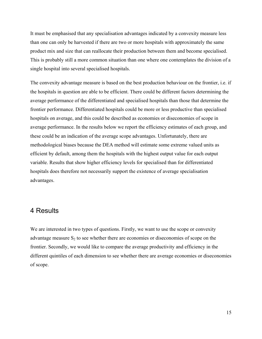It must be emphasised that any specialisation advantages indicated by a convexity measure less than one can only be harvested if there are two or more hospitals with approximately the same product mix and size that can reallocate their production between them and become specialised. This is probably still a more common situation than one where one contemplates the division of a single hospital into several specialised hospitals.

The convexity advantage measure is based on the best production behaviour on the frontier, i.e. if the hospitals in question are able to be efficient. There could be different factors determining the average performance of the differentiated and specialised hospitals than those that determine the frontier performance. Differentiated hospitals could be more or less productive than specialised hospitals on average, and this could be described as economies or diseconomies of scope in average performance. In the results below we report the efficiency estimates of each group, and these could be an indication of the average scope advantages. Unfortunately, there are methodological biases because the DEA method will estimate some extreme valued units as efficient by default, among them the hospitals with the highest output value for each output variable. Results that show higher efficiency levels for specialised than for differentiated hospitals does therefore not necessarily support the existence of average specialisation advantages.

## 4 Results

We are interested in two types of questions. Firstly, we want to use the scope or convexity advantage measure  $S_2$  to see whether there are economies or diseconomies of scope on the frontier. Secondly, we would like to compare the average productivity and efficiency in the different quintiles of each dimension to see whether there are average economies or diseconomies of scope.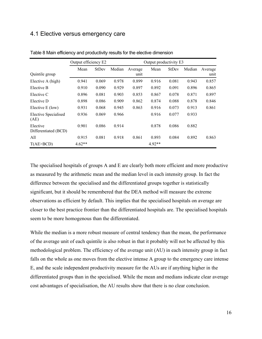## 4.1 Elective versus emergency care

|                                  | Output efficiency E2 |              |        | Output productivity E3 |        |              |        |         |  |  |
|----------------------------------|----------------------|--------------|--------|------------------------|--------|--------------|--------|---------|--|--|
|                                  | Mean                 | <b>StDev</b> | Median | Average                | Mean   | <b>StDev</b> | Median | Average |  |  |
| Quintile group                   |                      |              |        | unit                   |        |              |        | unit    |  |  |
| Elective A (high)                | 0.941                | 0.069        | 0.978  | 0.899                  | 0.916  | 0.081        | 0.943  | 0.857   |  |  |
| Elective B                       | 0.910                | 0.090        | 0.929  | 0.897                  | 0.892  | 0.091        | 0.896  | 0.865   |  |  |
| Elective C                       | 0.896                | 0.081        | 0.903  | 0.853                  | 0.867  | 0.078        | 0.871  | 0.897   |  |  |
| Elective D                       | 0.898                | 0.086        | 0.909  | 0.862                  | 0.874  | 0.088        | 0.878  | 0.846   |  |  |
| Elective E (low)                 | 0.931                | 0.068        | 0.945  | 0.863                  | 0.916  | 0.073        | 0.913  | 0.861   |  |  |
| Elective Specialised<br>(AE)     | 0.936                | 0.069        | 0.966  |                        | 0.916  | 0.077        | 0.933  |         |  |  |
| Elective<br>Differentiated (BCD) | 0.901                | 0.086        | 0.914  |                        | 0.878  | 0.086        | 0.882  |         |  |  |
| All                              | 0.915                | 0.081        | 0.918  | 0.861                  | 0.893  | 0.084        | 0.892  | 0.863   |  |  |
| T(AE > BCD)                      | $4.62**$             |              |        |                        | 4.92** |              |        |         |  |  |

Table 8 Main efficiency and productivity results for the elective dimension

The specialised hospitals of groups A and E are clearly both more efficient and more productive as measured by the arithmetic mean and the median level in each intensity group. In fact the difference between the specialised and the differentiated groups together is statistically significant, but it should be remembered that the DEA method will measure the extreme observations as efficient by default. This implies that the specialised hospitals on average are closer to the best practice frontier than the differentiated hospitals are. The specialised hospitals seem to be more homogenous than the differentiated.

While the median is a more robust measure of central tendency than the mean, the performance of the average unit of each quintile is also robust in that it probably will not be affected by this methodological problem. The efficiency of the average unit (AU) in each intensity group in fact falls on the whole as one moves from the elective intense A group to the emergency care intense E, and the scale independent productivity measure for the AUs are if anything higher in the differentiated groups than in the specialised. While the mean and medians indicate clear average cost advantages of specialisation, the AU results show that there is no clear conclusion.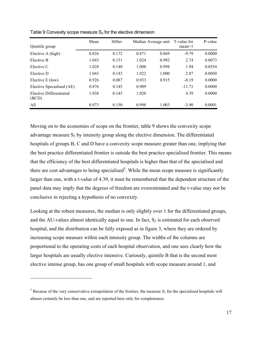|                                  | Mean  | <b>StDev</b> |       | Median Average unit | T-value for | P-value |
|----------------------------------|-------|--------------|-------|---------------------|-------------|---------|
| Quintile group                   |       |              |       |                     | mean > 1    |         |
| Elective A (high)                | 0.826 | 0.172        | 0.871 | 0.869               | $-9.79$     | 0.0000  |
| Elective B                       | 1.043 | 0.151        | 1.024 | 0.992               | 2.74        | 0.0073  |
| Elective C                       | 1.028 | 0.140        | 1.008 | 0.998               | 1.94        | 0.0554  |
| Elective D                       | 1.043 | 0.143        | 1.022 | 1.000               | 2.87        | 0.0050  |
| Elective E (low)                 | 0.926 | 0.087        | 0.933 | 0.915               | $-8.19$     | 0.0000  |
| Elective Specialised (AE)        | 0.876 | 0.145        | 0.909 |                     | $-11.71$    | 0.0000  |
| Elective Differentiated<br>(BCD) | 1.038 | 0.145        | 1.020 |                     | 4.39        | 0.0000  |
| All                              | 0.973 | 0.150        | 0.998 | 1.003               | $-3.90$     | 0.0001  |

Table 9 Convexity scope measure  $S_2$  for the elective dimension

Moving on to the economies of scope on the frontier, table 9 shows the convexity scope advantage measure  $S_2$  by intensity group along the elective dimension. The differentiated hospitals of groups B, C and D have a convexity scope measure greater than one, implying that the best practice differentiated frontier is outside the best practice specialised frontier. This means that the efficiency of the best differentiated hospitals is higher than that of the specialised and there are cost advantages to being specialised<sup>5</sup>. While the mean scope measure is significantly larger than one, with a t-value of 4.39, it must be remembered that the dependent structure of the panel data may imply that the degrees of freedom are overestimated and the t-value may not be conclusive in rejecting a hypothesis of no convexity.

Looking at the robust measures, the median is only slightly over 1 for the differentiated groups, and the AU-values almost identically equal to one. In fact,  $S_2$  is estimated for each observed hospital, and the distribution can be fully exposed as in figure 3, where they are ordered by increasing scope measure within each intensity group. The widths of the columns are proportional to the operating costs of each hospital observation, and one sees clearly how the larger hospitals are usually elective intensive. Curiously, quintile B that is the second most elective intense group, has one group of small hospitals with scope measure around 1, and

1

<sup>&</sup>lt;sup>5</sup> Because of the very conservative extrapolation of the frontier, the measure  $S_2$  for the specialised hospitals will almost certainly be less than one, and are reported here only for completeness.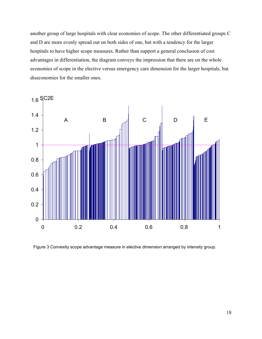another group of large hospitals with clear economies of scope. The other differentiated groups C and D are more evenly spread out on both sides of one, but with a tendency for the larger hospitals to have higher scope measures. Rather than support a general conclusion of cost advantages in differentiation, the diagram conveys the impression that there are on the whole economies of scope in the elective versus emergency care dimension for the larger hospitals, but diseconomies for the smaller ones.



Figure 3 Convexity scope advantage measure in elective dimension arranged by intensity group.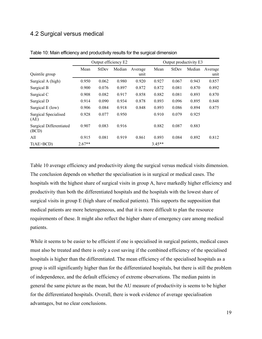## 4.2 Surgical versus medical

|                                         |          | Output efficiency E2 |        |         |          | Output productivity E3 |        |         |  |  |
|-----------------------------------------|----------|----------------------|--------|---------|----------|------------------------|--------|---------|--|--|
|                                         | Mean     | StDev                | Median | Average | Mean     | <b>StDev</b>           | Median | Average |  |  |
| Quintile group                          |          |                      |        | unit    |          |                        |        | unit    |  |  |
| Surgical A (high)                       | 0.950    | 0.062                | 0.980  | 0.920   | 0.927    | 0.067                  | 0.943  | 0.857   |  |  |
| Surgical B                              | 0.900    | 0.076                | 0.897  | 0.872   | 0.872    | 0.081                  | 0.870  | 0.892   |  |  |
| Surgical C                              | 0.908    | 0.082                | 0.917  | 0.858   | 0.882    | 0.081                  | 0.893  | 0.870   |  |  |
| Surgical D                              | 0.914    | 0.090                | 0.934  | 0.878   | 0.893    | 0.096                  | 0.895  | 0.848   |  |  |
| Surgical E (low)                        | 0.906    | 0.084                | 0.918  | 0.848   | 0.893    | 0.086                  | 0.894  | 0.875   |  |  |
| <b>Surgical Specialised</b><br>(AE)     | 0.928    | 0.077                | 0.950  |         | 0.910    | 0.079                  | 0.925  |         |  |  |
| <b>Surgical Differentiated</b><br>(BCD) | 0.907    | 0.083                | 0.916  |         | 0.882    | 0.087                  | 0.883  |         |  |  |
| All                                     | 0.915    | 0.081                | 0.919  | 0.861   | 0.893    | 0.084                  | 0.892  | 0.812   |  |  |
| T(AE>BCD)                               | $2.67**$ |                      |        |         | $3.45**$ |                        |        |         |  |  |

Table 10: Main efficiency and productivity results for the surgical dimension

Table 10 average efficiency and productivity along the surgical versus medical visits dimension. The conclusion depends on whether the specialisation is in surgical or medical cases. The hospitals with the highest share of surgical visits in group A, have markedly higher efficiency and productivity than both the differentiated hospitals and the hospitals with the lowest share of surgical visits in group E (high share of medical patients). This supports the supposition that medical patients are more heterogeneous, and that it is more difficult to plan the resource requirements of these. It might also reflect the higher share of emergency care among medical patients.

While it seems to be easier to be efficient if one is specialised in surgical patients, medical cases must also be treated and there is only a cost saving if the combined efficiency of the specialised hospitals is higher than the differentiated. The mean efficiency of the specialised hospitals as a group is still significantly higher than for the differentiated hospitals, but there is still the problem of independence, and the default efficiency of extreme observations. The median paints in general the same picture as the mean, but the AU measure of productivity is seems to be higher for the differentiated hospitals. Overall, there is week evidence of average specialisation advantages, but no clear conclusions.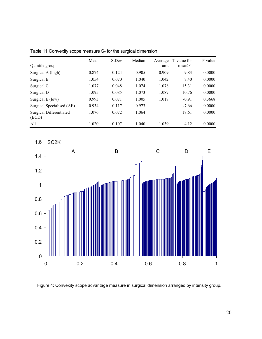|                                         | Mean  | <b>StDev</b> | Median | Average | T-value for | P-value |
|-----------------------------------------|-------|--------------|--------|---------|-------------|---------|
| Quintile group                          |       |              |        | unit    | mean > 1    |         |
| Surgical A (high)                       | 0.874 | 0.124        | 0.905  | 0.909   | $-9.83$     | 0.0000  |
| Surgical B                              | 1.054 | 0.070        | 1.040  | 1.042   | 7.40        | 0.0000  |
| Surgical C                              | 1.077 | 0.048        | 1.074  | 1.078   | 15.31       | 0.0000  |
| Surgical D                              | 1.095 | 0.085        | 1.073  | 1.087   | 10.76       | 0.0000  |
| Surgical E (low)                        | 0.993 | 0.071        | 1.005  | 1.017   | $-0.91$     | 0.3668  |
| Surgical Specialised (AE)               | 0.934 | 0.117        | 0.973  |         | $-7.66$     | 0.0000  |
| <b>Surgical Differentiated</b><br>(BCD) | 1.076 | 0.072        | 1.064  |         | 17.61       | 0.0000  |
| All                                     | 1.020 | 0.107        | 1.040  | 1.039   | 4.12        | 0.0000  |

Table 11 Convexity scope measure  $S_2$  for the surgical dimension



Figure 4: Convexity scope advantage measure in surgical dimension arranged by intensity group.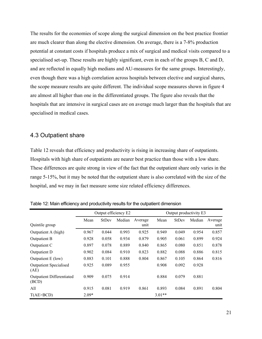The results for the economies of scope along the surgical dimension on the best practice frontier are much clearer than along the elective dimension. On average, there is a 7-8% production potential at constant costs if hospitals produce a mix of surgical and medical visits compared to a specialised set-up. These results are highly significant, even in each of the groups B, C and D, and are reflected in equally high medians and AU-measures for the same groups. Interestingly, even though there was a high correlation across hospitals between elective and surgical shares, the scope measure results are quite different. The individual scope measures shown in figure 4 are almost all higher than one in the differentiated groups. The figure also reveals that the hospitals that are intensive in surgical cases are on average much larger than the hospitals that are specialised in medical cases.

### 4.3 Outpatient share

Table 12 reveals that efficiency and productivity is rising in increasing share of outpatients. Hospitals with high share of outpatients are nearer best practice than those with a low share. These differences are quite strong in view of the fact that the outpatient share only varies in the range 5-15%, but it may be noted that the outpatient share is also correlated with the size of the hospital, and we may in fact measure some size related efficiency differences.

|                                           | Output efficiency E2 |              |        |         | Output productivity E3 |              |        |         |
|-------------------------------------------|----------------------|--------------|--------|---------|------------------------|--------------|--------|---------|
|                                           | Mean                 | <b>StDev</b> | Median | Average | Mean                   | <b>StDev</b> | Median | Average |
| Quintile group                            |                      |              |        | unit    |                        |              |        | unit    |
| Outpatient A (high)                       | 0.967                | 0.044        | 0.993  | 0.925   | 0.949                  | 0.049        | 0.954  | 0.857   |
| Outpatient B                              | 0.928                | 0.058        | 0.934  | 0.879   | 0.905                  | 0.061        | 0.899  | 0.924   |
| Outpatient C                              | 0.897                | 0.078        | 0.889  | 0.840   | 0.865                  | 0.080        | 0.851  | 0.878   |
| Outpatient D                              | 0.902                | 0.084        | 0.910  | 0.823   | 0.882                  | 0.088        | 0.886  | 0.815   |
| Outpatient E (low)                        | 0.883                | 0.101        | 0.888  | 0.804   | 0.867                  | 0.105        | 0.864  | 0.816   |
| <b>Outpatient Specialised</b><br>(AE)     | 0.925                | 0.089        | 0.955  |         | 0.908                  | 0.092        | 0.928  |         |
| <b>Outpatient Differentiated</b><br>(BCD) | 0.909                | 0.075        | 0.914  |         | 0.884                  | 0.079        | 0.881  |         |
| All                                       | 0.915                | 0.081        | 0.919  | 0.861   | 0.893                  | 0.084        | 0.891  | 0.804   |
| T(AE > BCD)                               | $2.09*$              |              |        |         | $3.01**$               |              |        |         |

Table 12: Main efficiency and productivity results for the outpatient dimension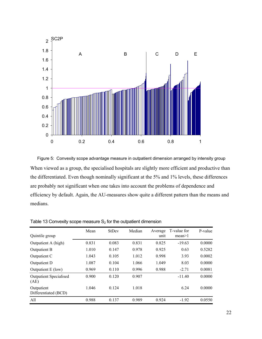

When viewed as a group, the specialised hospitals are slightly more efficient and productive than the differentiated. Even though nominally significant at the 5% and 1% levels, these differences are probably not significant when one takes into account the problems of dependence and efficiency by default. Again, the AU-measures show quite a different pattern than the means and medians. Figure 5: Convexity scope advantage measure in outpatient dimension arranged by intensity group

| Quintile group                        | Mean  | StDev | Median | Average<br>unit | T-value for<br>mean > 1 | P-value |
|---------------------------------------|-------|-------|--------|-----------------|-------------------------|---------|
| Outpatient A (high)                   | 0.831 | 0.083 | 0.831  | 0.825           | $-19.63$                | 0.0000  |
| Outpatient B                          | 1.010 | 0.147 | 0.978  | 0.925           | 0.63                    | 0.5282  |
| Outpatient C                          | 1.043 | 0.105 | 1.012  | 0.998           | 3.93                    | 0.0002  |
| Outpatient D                          | 1.087 | 0.104 | 1.066  | 1.049           | 8.03                    | 0.0000  |
| Outpatient E (low)                    | 0.969 | 0.110 | 0.996  | 0.988           | $-2.71$                 | 0.0081  |
| <b>Outpatient Specialised</b><br>(AE) | 0.900 | 0.120 | 0.907  |                 | $-11.40$                | 0.0000  |
| Outpatient<br>Differentiated (BCD)    | 1.046 | 0.124 | 1.018  |                 | 6.24                    | 0.0000  |
| All                                   | 0.988 | 0.137 | 0.989  | 0.924           | $-1.92$                 | 0.0550  |

Table 13 Convexity scope measure  $S_2$  for the outpatient dimension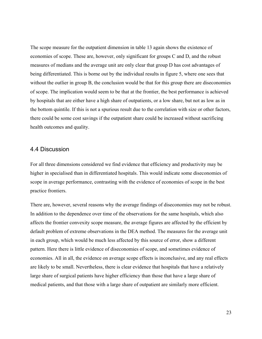The scope measure for the outpatient dimension in table 13 again shows the existence of economies of scope. These are, however, only significant for groups C and D, and the robust measures of medians and the average unit are only clear that group D has cost advantages of being differentiated. This is borne out by the individual results in figure 5, where one sees that without the outlier in group B, the conclusion would be that for this group there are diseconomies of scope. The implication would seem to be that at the frontier, the best performance is achieved by hospitals that are either have a high share of outpatients, or a low share, but not as low as in the bottom quintile. If this is not a spurious result due to the correlation with size or other factors, there could be some cost savings if the outpatient share could be increased without sacrificing health outcomes and quality.

#### 4.4 Discussion

For all three dimensions considered we find evidence that efficiency and productivity may be higher in specialised than in differentiated hospitals. This would indicate some diseconomies of scope in average performance, contrasting with the evidence of economies of scope in the best practice frontiers.

There are, however, several reasons why the average findings of diseconomies may not be robust. In addition to the dependence over time of the observations for the same hospitals, which also affects the frontier convexity scope measure, the average figures are affected by the efficient by default problem of extreme observations in the DEA method. The measures for the average unit in each group, which would be much less affected by this source of error, show a different pattern. Here there is little evidence of diseconomies of scope, and sometimes evidence of economies. All in all, the evidence on average scope effects is inconclusive, and any real effects are likely to be small. Nevertheless, there is clear evidence that hospitals that have a relatively large share of surgical patients have higher efficiency than those that have a large share of medical patients, and that those with a large share of outpatient are similarly more efficient.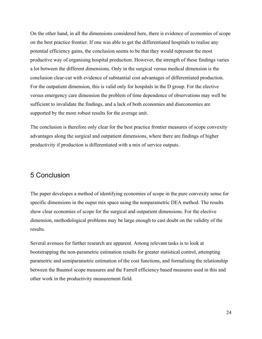On the other hand, in all the dimensions considered here, there is evidence of economies of scope on the best practice frontier. If one was able to get the differentiated hospitals to realise any potential efficiency gains, the conclusion seems to be that they would represent the most productive way of organising hospital production. However, the strength of these findings varies a lot between the different dimensions. Only in the surgical versus medical dimension is the conclusion clear-cut with evidence of substantial cost advantages of differentiated production. For the outpatient dimension, this is valid only for hospitals in the D group. For the elective versus emergency care dimension the problem of time dependence of observations may well be sufficient to invalidate the findings, and a lack of both economies and diseconomies are supported by the more robust results for the average unit.

The conclusion is therefore only clear for the best practice frontier measures of scope convexity advantages along the surgical and outpatient dimensions, where there are findings of higher productivity if production is differentiated with a mix of service outputs.

# 5 Conclusion

The paper developes a method of identifying economies of scope in the pure convexity sense for specific dimensions in the ouput mix space using the nonparametric DEA method. The results show clear economies of scope for the surgical and outpatient dimensions. For the elective dimension, methodological problems may be large enough to cast doubt on the validity of the results.

Several avenues for further research are apparent. Among relevant tasks is to look at bootstrapping the non-parametric estimation results for greater statistical control, attempting parametric and semiparametric estimation of the cost functions, and formalising the relationship between the Baumol scope measures and the Farrell efficiency based measures used in this and other work in the productivity measurement field.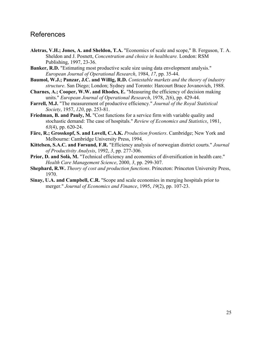# References

- **Aletras, V.H.; Jones, A. and Sheldon, T.A.** "Economics of scale and scope," B. Ferguson, T. A. Sheldon and J. Posnett, *Concentration and choice in healthcare.* London: RSM Publishing, 1997, 23-36.
- **Banker, R.D.** "Estimating most productive scale size using data envelopment analysis." *European Journal of Operational Research*, 1984, *17*, pp. 35-44.
- **Baumol, W.J.; Panzar, J.C. and Willig, R.D.** *Contestable markets and the theory of industry structure*. San Diego; London; Sydney and Toronto: Harcourt Brace Jovanovich, 1988.
- **Charnes, A.; Cooper, W.W. and Rhodes, E.** "Measuring the efficiency of decision making units." *European Journal of Operational Research*, 1978, *2*(6), pp. 429-44.
- **Farrell, M.J.** "The measurement of productive efficiency." *Journal of the Royal Statistical Society*, 1957, *120*, pp. 253-81.
- **Friedman, B. and Pauly, M.** "Cost functions for a service firm with variable quality and stochastic demand: The case of hospitals." *Review of Economics and Statistics*, 1981, *63*(4), pp. 620-24.
- **Färe, R.; Grosskopf, S. and Lovell, C.A.K.** *Production frontiers*. Cambridge; New York and Melbourne: Cambridge University Press, 1994.
- **Kittelsen, S.A.C. and Førsund, F.R.** "Efficiency analysis of norwegian district courts." *Journal of Productivity Analysis*, 1992, *3*, pp. 277-306.
- **Prior, D. and Solà, M.** "Technical efficiency and economics of diversification in health care." *Health Care Management Science*, 2000, *3*, pp. 299-307.
- **Shephard, R.W.** *Theory of cost and production functions*. Princeton: Princeton University Press, 1970.
- **Sinay, U.A. and Campbell, C.R.** "Scope and scale economies in merging hospitals prior to merger." *Journal of Economics and Finance*, 1995, *19*(2), pp. 107-23.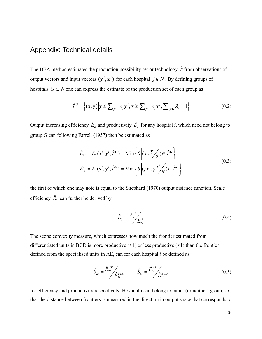## Appendix: Technical details

The DEA method estimates the production possibility set or technology  $\hat{T}$  from observations of output vectors and input vectors  $(y^{j}, x^{j})$  for each hospital  $j \in N$ . By defining groups of hospitals  $G \subseteq N$  one can express the estimate of the production set of each group as

$$
\hat{T}^G = \left\{ (\mathbf{x}, \mathbf{y}) \middle| \mathbf{y} \le \sum_{j \in G} \lambda_j \mathbf{y}^j, \mathbf{x} \ge \sum_{j \in G} \lambda_j \mathbf{x}^j, \sum_{j \in G} \lambda_j = 1 \right\}
$$
(0.2)

Output increasing efficiency  $\hat{E}_2$  and productivity  $\hat{E}_3$  for any hospital *i*, which need not belong to group *G* can following Farrell (1957) then be estimated as

$$
\hat{E}_{2i}^G = E_2(\mathbf{x}^i, \mathbf{y}^i; \hat{T}^G) = \text{Min}\left\{\theta \middle| (\mathbf{x}^i, \mathbf{y}^i/\theta) \in \hat{T}^G \right\}
$$
\n
$$
\hat{E}_{3i}^G = E_3(\mathbf{x}^i, \mathbf{y}^i; \hat{T}^G) = \text{Min}\left\{\theta \middle| (\gamma \mathbf{x}^i, \gamma \mathbf{y}^i/\theta) \in \hat{T}^G \right\}
$$
\n(0.3)

the first of which one may note is equal to the Shephard (1970) output distance function. Scale efficiency  $\hat{E}_5$  can further be derived by

$$
\hat{E}_{5i}^G = \frac{\hat{E}_{3i}^G}{\hat{E}_{2i}^G}
$$
\n(0.4)

The scope convexity measure, which expresses how much the frontier estimated from differentiated units in BCD is more productive  $(>1)$  or less productive  $(<1)$  than the frontier defined from the specialised units in AE, can for each hospital *i* be defined as

$$
\hat{S}_{2i} = \frac{\hat{E}_{2i}^{AE}}{\hat{E}_{2i}^{BCD}} \qquad \hat{S}_{3i} = \frac{\hat{E}_{3i}^{AE}}{\hat{E}_{3i}^{BCD}} \qquad (0.5)
$$

for efficiency and productivity respectively. Hospital i can belong to either (or neither) group, so that the distance between frontiers is measured in the direction in output space that corresponds to